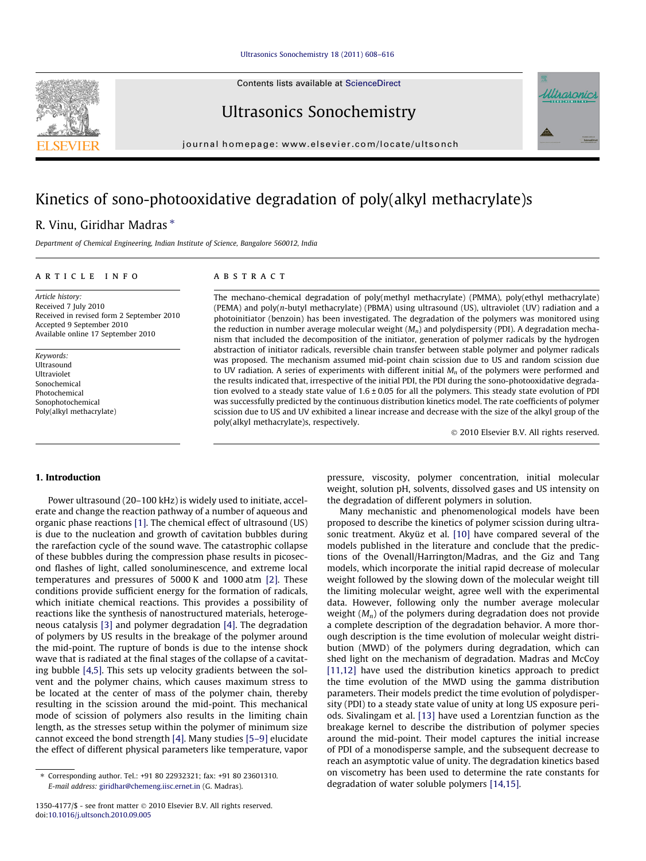Contents lists available at ScienceDirect

Ultrasonics Sonochemistry

journal homepage: www.elsevier.com/locate/ultsonch

# Kinetics of sono-photooxidative degradation of poly(alkyl methacrylate)s

# R. Vinu, Giridhar Madras  $*$

Department of Chemical Engineering, Indian Institute of Science, Bangalore 560012, India

## article info

Article history: Received 7 July 2010 Received in revised form 2 September 2010 Accepted 9 September 2010 Available online 17 September 2010

Keywords: Ultrasound Ultraviolet Sonochemical Photochemical Sonophotochemical Poly(alkyl methacrylate)

## **ABSTRACT**

The mechano-chemical degradation of poly(methyl methacrylate) (PMMA), poly(ethyl methacrylate) (PEMA) and poly(n-butyl methacrylate) (PBMA) using ultrasound (US), ultraviolet (UV) radiation and a photoinitiator (benzoin) has been investigated. The degradation of the polymers was monitored using the reduction in number average molecular weight  $(M_n)$  and polydispersity (PDI). A degradation mechanism that included the decomposition of the initiator, generation of polymer radicals by the hydrogen abstraction of initiator radicals, reversible chain transfer between stable polymer and polymer radicals was proposed. The mechanism assumed mid-point chain scission due to US and random scission due to UV radiation. A series of experiments with different initial  $M_n$  of the polymers were performed and the results indicated that, irrespective of the initial PDI, the PDI during the sono-photooxidative degradation evolved to a steady state value of  $1.6 \pm 0.05$  for all the polymers. This steady state evolution of PDI was successfully predicted by the continuous distribution kinetics model. The rate coefficients of polymer scission due to US and UV exhibited a linear increase and decrease with the size of the alkyl group of the poly(alkyl methacrylate)s, respectively.

 $@$  2010 Elsevier B.V. All rights reserved.

## 1. Introduction

Power ultrasound (20–100 kHz) is widely used to initiate, accelerate and change the reaction pathway of a number of aqueous and organic phase reactions [1]. The chemical effect of ultrasound (US) is due to the nucleation and growth of cavitation bubbles during the rarefaction cycle of the sound wave. The catastrophic collapse of these bubbles during the compression phase results in picosecond flashes of light, called sonoluminescence, and extreme local temperatures and pressures of 5000 K and 1000 atm [2]. These conditions provide sufficient energy for the formation of radicals, which initiate chemical reactions. This provides a possibility of reactions like the synthesis of nanostructured materials, heterogeneous catalysis [3] and polymer degradation [4]. The degradation of polymers by US results in the breakage of the polymer around the mid-point. The rupture of bonds is due to the intense shock wave that is radiated at the final stages of the collapse of a cavitating bubble [4,5]. This sets up velocity gradients between the solvent and the polymer chains, which causes maximum stress to be located at the center of mass of the polymer chain, thereby resulting in the scission around the mid-point. This mechanical mode of scission of polymers also results in the limiting chain length, as the stresses setup within the polymer of minimum size cannot exceed the bond strength [4]. Many studies [5–9] elucidate the effect of different physical parameters like temperature, vapor pressure, viscosity, polymer concentration, initial molecular weight, solution pH, solvents, dissolved gases and US intensity on the degradation of different polymers in solution.

Many mechanistic and phenomenological models have been proposed to describe the kinetics of polymer scission during ultrasonic treatment. Akyüz et al. [10] have compared several of the models published in the literature and conclude that the predictions of the Ovenall/Harrington/Madras, and the Giz and Tang models, which incorporate the initial rapid decrease of molecular weight followed by the slowing down of the molecular weight till the limiting molecular weight, agree well with the experimental data. However, following only the number average molecular weight  $(M_n)$  of the polymers during degradation does not provide a complete description of the degradation behavior. A more thorough description is the time evolution of molecular weight distribution (MWD) of the polymers during degradation, which can shed light on the mechanism of degradation. Madras and McCoy [11,12] have used the distribution kinetics approach to predict the time evolution of the MWD using the gamma distribution parameters. Their models predict the time evolution of polydispersity (PDI) to a steady state value of unity at long US exposure periods. Sivalingam et al. [13] have used a Lorentzian function as the breakage kernel to describe the distribution of polymer species around the mid-point. Their model captures the initial increase of PDI of a monodisperse sample, and the subsequent decrease to reach an asymptotic value of unity. The degradation kinetics based on viscometry has been used to determine the rate constants for degradation of water soluble polymers [14,15].





<sup>⇑</sup> Corresponding author. Tel.: +91 80 22932321; fax: +91 80 23601310. E-mail address: giridhar@chemeng.iisc.ernet.in (G. Madras).

<sup>1350-4177/\$ -</sup> see front matter @ 2010 Elsevier B.V. All rights reserved. doi:10.1016/j.ultsonch.2010.09.005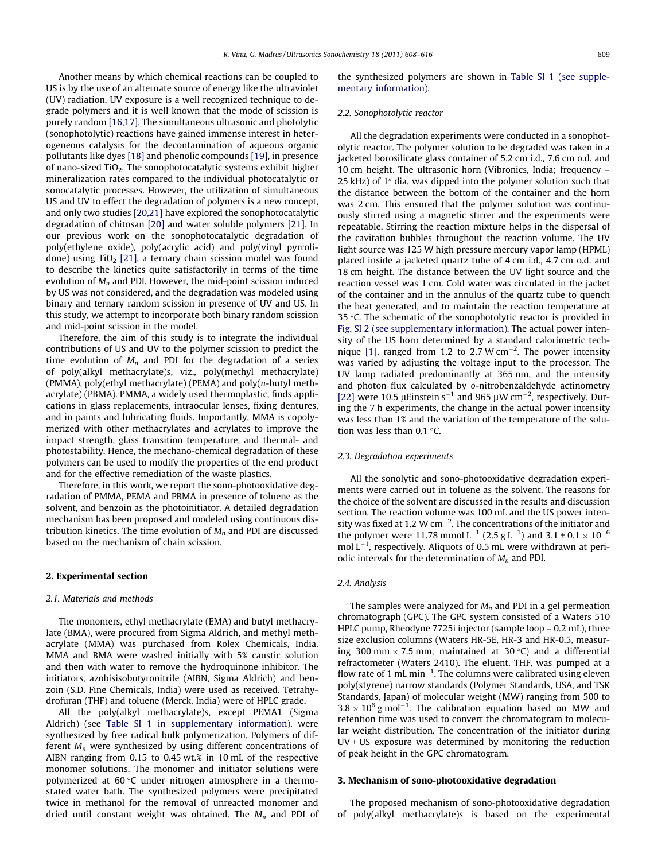Another means by which chemical reactions can be coupled to US is by the use of an alternate source of energy like the ultraviolet (UV) radiation. UV exposure is a well recognized technique to degrade polymers and it is well known that the mode of scission is purely random [16,17]. The simultaneous ultrasonic and photolytic (sonophotolytic) reactions have gained immense interest in heterogeneous catalysis for the decontamination of aqueous organic pollutants like dyes [18] and phenolic compounds [19], in presence of nano-sized  $TiO<sub>2</sub>$ . The sonophotocatalytic systems exhibit higher mineralization rates compared to the individual photocatalytic or sonocatalytic processes. However, the utilization of simultaneous US and UV to effect the degradation of polymers is a new concept, and only two studies [20,21] have explored the sonophotocatalytic degradation of chitosan [20] and water soluble polymers [21]. In our previous work on the sonophotocatalytic degradation of poly(ethylene oxide), poly(acrylic acid) and poly(vinyl pyrrolidone) using TiO<sub>2</sub> [21], a ternary chain scission model was found to describe the kinetics quite satisfactorily in terms of the time evolution of  $M_n$  and PDI. However, the mid-point scission induced by US was not considered, and the degradation was modeled using binary and ternary random scission in presence of UV and US. In this study, we attempt to incorporate both binary random scission and mid-point scission in the model.

Therefore, the aim of this study is to integrate the individual contributions of US and UV to the polymer scission to predict the time evolution of  $M_n$  and PDI for the degradation of a series of poly(alkyl methacrylate)s, viz., poly(methyl methacrylate) (PMMA), poly(ethyl methacrylate) (PEMA) and poly(n-butyl methacrylate) (PBMA). PMMA, a widely used thermoplastic, finds applications in glass replacements, intraocular lenses, fixing dentures, and in paints and lubricating fluids. Importantly, MMA is copolymerized with other methacrylates and acrylates to improve the impact strength, glass transition temperature, and thermal- and photostability. Hence, the mechano-chemical degradation of these polymers can be used to modify the properties of the end product and for the effective remediation of the waste plastics.

Therefore, in this work, we report the sono-photooxidative degradation of PMMA, PEMA and PBMA in presence of toluene as the solvent, and benzoin as the photoinitiator. A detailed degradation mechanism has been proposed and modeled using continuous distribution kinetics. The time evolution of  $M_n$  and PDI are discussed based on the mechanism of chain scission.

## 2. Experimental section

#### 2.1. Materials and methods

The monomers, ethyl methacrylate (EMA) and butyl methacrylate (BMA), were procured from Sigma Aldrich, and methyl methacrylate (MMA) was purchased from Rolex Chemicals, India. MMA and BMA were washed initially with 5% caustic solution and then with water to remove the hydroquinone inhibitor. The initiators, azobisisobutyronitrile (AIBN, Sigma Aldrich) and benzoin (S.D. Fine Chemicals, India) were used as received. Tetrahydrofuran (THF) and toluene (Merck, India) were of HPLC grade.

All the poly(alkyl methacrylate)s, except PEMA1 (Sigma Aldrich) (see Table SI 1 in supplementary information), were synthesized by free radical bulk polymerization. Polymers of different  $M_n$  were synthesized by using different concentrations of AIBN ranging from 0.15 to 0.45 wt.% in 10 mL of the respective monomer solutions. The monomer and initiator solutions were polymerized at  $60^{\circ}$ C under nitrogen atmosphere in a thermostated water bath. The synthesized polymers were precipitated twice in methanol for the removal of unreacted monomer and dried until constant weight was obtained. The  $M_n$  and PDI of the synthesized polymers are shown in Table SI 1 (see supplementary information).

#### 2.2. Sonophotolytic reactor

All the degradation experiments were conducted in a sonophotolytic reactor. The polymer solution to be degraded was taken in a jacketed borosilicate glass container of 5.2 cm i.d., 7.6 cm o.d. and 10 cm height. The ultrasonic horn (Vibronics, India; frequency – 25 kHz) of  $1<sup>n</sup>$  dia. was dipped into the polymer solution such that the distance between the bottom of the container and the horn was 2 cm. This ensured that the polymer solution was continuously stirred using a magnetic stirrer and the experiments were repeatable. Stirring the reaction mixture helps in the dispersal of the cavitation bubbles throughout the reaction volume. The UV light source was 125 W high pressure mercury vapor lamp (HPML) placed inside a jacketed quartz tube of 4 cm i.d., 4.7 cm o.d. and 18 cm height. The distance between the UV light source and the reaction vessel was 1 cm. Cold water was circulated in the jacket of the container and in the annulus of the quartz tube to quench the heat generated, and to maintain the reaction temperature at 35  $\degree$ C. The schematic of the sonophotolytic reactor is provided in Fig. SI 2 (see supplementary information). The actual power intensity of the US horn determined by a standard calorimetric technique [1], ranged from 1.2 to 2.7 W  $cm^{-2}$ . The power intensity was varied by adjusting the voltage input to the processor. The UV lamp radiated predominantly at 365 nm, and the intensity and photon flux calculated by o-nitrobenzaldehyde actinometry [22] were 10.5  $\mu$ Einstein s<sup>-1</sup> and 965  $\mu$ W cm<sup>-2</sup>, respectively. During the 7 h experiments, the change in the actual power intensity was less than 1% and the variation of the temperature of the solution was less than  $0.1$  °C.

## 2.3. Degradation experiments

All the sonolytic and sono-photooxidative degradation experiments were carried out in toluene as the solvent. The reasons for the choice of the solvent are discussed in the results and discussion section. The reaction volume was 100 mL and the US power intensity was fixed at 1.2 W  $cm^{-2}$ . The concentrations of the initiator and the polymer were 11.78 mmol L<sup>-1</sup> (2.5 g L<sup>-1</sup>) and 3.1 ± 0.1  $\times$  10<sup>-6</sup> mol  $L^{-1}$ , respectively. Aliquots of 0.5 mL were withdrawn at periodic intervals for the determination of  $M_n$  and PDI.

## 2.4. Analysis

The samples were analyzed for  $M_n$  and PDI in a gel permeation chromatograph (GPC). The GPC system consisted of a Waters 510 HPLC pump, Rheodyne 7725i injector (sample loop – 0.2 mL), three size exclusion columns (Waters HR-5E, HR-3 and HR-0.5, measuring 300 mm  $\times$  7.5 mm, maintained at 30 °C) and a differential refractometer (Waters 2410). The eluent, THF, was pumped at a flow rate of 1 mL min<sup>-1</sup>. The columns were calibrated using eleven poly(styrene) narrow standards (Polymer Standards, USA, and TSK Standards, Japan) of molecular weight (MW) ranging from 500 to  $3.8 \times 10^6$  g mol<sup>-1</sup>. The calibration equation based on MW and retention time was used to convert the chromatogram to molecular weight distribution. The concentration of the initiator during UV + US exposure was determined by monitoring the reduction of peak height in the GPC chromatogram.

## 3. Mechanism of sono-photooxidative degradation

The proposed mechanism of sono-photooxidative degradation of poly(alkyl methacrylate)s is based on the experimental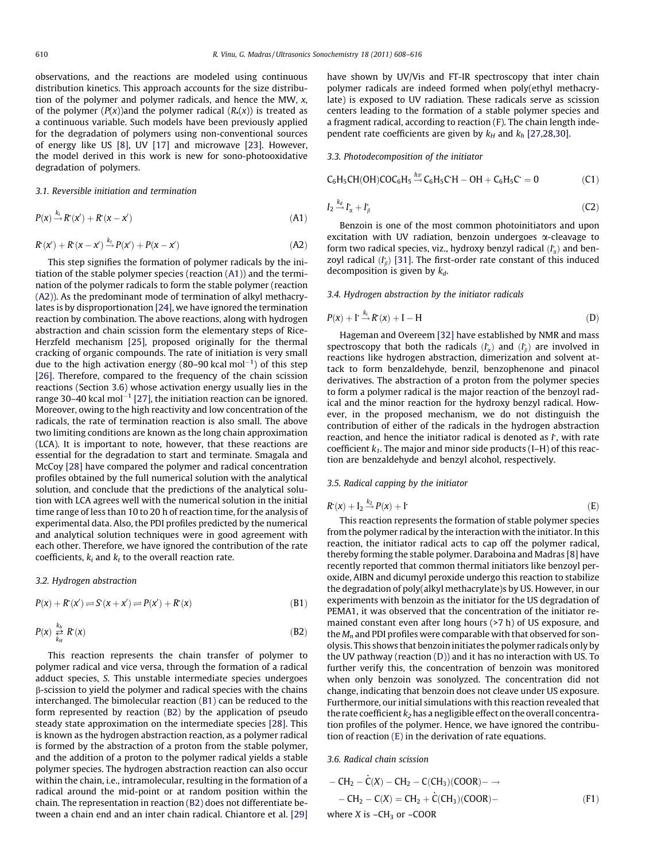observations, and the reactions are modeled using continuous distribution kinetics. This approach accounts for the size distribution of the polymer and polymer radicals, and hence the MW, x, of the polymer  $(P(x))$  and the polymer radical  $(R(x))$  is treated as a continuous variable. Such models have been previously applied for the degradation of polymers using non-conventional sources of energy like US [8], UV [17] and microwave [23]. However, the model derived in this work is new for sono-photooxidative degradation of polymers.

#### 3.1. Reversible initiation and termination

$$
P(x) \stackrel{k_i}{\rightarrow} R^*(x') + R^*(x - x')
$$
 (A1)

$$
R'(x') + R'(x - x') \stackrel{k_t}{\rightarrow} P(x') + P(x - x')
$$
 (A2)

This step signifies the formation of polymer radicals by the initiation of the stable polymer species (reaction (A1)) and the termination of the polymer radicals to form the stable polymer (reaction (A2)). As the predominant mode of termination of alkyl methacrylates is by disproportionation [24], we have ignored the termination reaction by combination. The above reactions, along with hydrogen abstraction and chain scission form the elementary steps of Rice-Herzfeld mechanism [25], proposed originally for the thermal cracking of organic compounds. The rate of initiation is very small due to the high activation energy (80–90 kcal mol $^{-1}$ ) of this step [26]. Therefore, compared to the frequency of the chain scission reactions (Section 3.6) whose activation energy usually lies in the range 30–40 kcal mol $^{-1}$  [27], the initiation reaction can be ignored. Moreover, owing to the high reactivity and low concentration of the radicals, the rate of termination reaction is also small. The above two limiting conditions are known as the long chain approximation (LCA). It is important to note, however, that these reactions are essential for the degradation to start and terminate. Smagala and McCoy [28] have compared the polymer and radical concentration profiles obtained by the full numerical solution with the analytical solution, and conclude that the predictions of the analytical solution with LCA agrees well with the numerical solution in the initial time range of less than 10 to 20 h of reaction time, for the analysis of experimental data. Also, the PDI profiles predicted by the numerical and analytical solution techniques were in good agreement with each other. Therefore, we have ignored the contribution of the rate coefficients,  $k_i$  and  $k_t$  to the overall reaction rate.

## 3.2. Hydrogen abstraction

$$
P(x) + R'(x') \Longrightarrow S'(x + x') \Longrightarrow P(x') + R'(x)
$$
\n(B1)

$$
P(x) \underset{k_H}{\overset{k_h}{\rightleftharpoons}} R'(x) \tag{B2}
$$

This reaction represents the chain transfer of polymer to polymer radical and vice versa, through the formation of a radical adduct species, S. This unstable intermediate species undergoes  $\beta$ -scission to yield the polymer and radical species with the chains interchanged. The bimolecular reaction (B1) can be reduced to the form represented by reaction (B2) by the application of pseudo steady state approximation on the intermediate species [28]. This is known as the hydrogen abstraction reaction, as a polymer radical is formed by the abstraction of a proton from the stable polymer, and the addition of a proton to the polymer radical yields a stable polymer species. The hydrogen abstraction reaction can also occur within the chain, i.e., intramolecular, resulting in the formation of a radical around the mid-point or at random position within the chain. The representation in reaction (B2) does not differentiate between a chain end and an inter chain radical. Chiantore et al. [29]

have shown by UV/Vis and FT-IR spectroscopy that inter chain polymer radicals are indeed formed when poly(ethyl methacrylate) is exposed to UV radiation. These radicals serve as scission centers leading to the formation of a stable polymer species and a fragment radical, according to reaction (F). The chain length independent rate coefficients are given by  $k_H$  and  $k_h$  [27,28,30].

## 3.3. Photodecomposition of the initiator

$$
C_6H_5CH(OH)COC_6H_5\stackrel{h\nu}{\rightarrow} C_6H_5CH-OH+C_6H_5C=0\ \ \hspace{1.5cm} (C1)
$$

$$
I_2 \stackrel{k_d}{\to} I_\alpha + I_\beta \tag{C2}
$$

Benzoin is one of the most common photoinitiators and upon excitation with UV radiation, benzoin undergoes  $\alpha$ -cleavage to form two radical species, viz., hydroxy benzyl radical  $(I_{\alpha})$  and benzoyl radical  $(I_{\beta})$  [31]. The first-order rate constant of this induced decomposition is given by  $k_d$ .

## 3.4. Hydrogen abstraction by the initiator radicals

$$
P(x) + I \stackrel{k_i}{\rightarrow} R'(x) + I - H \tag{D}
$$

Hageman and Overeem [32] have established by NMR and mass spectroscopy that both the radicals  $(I_{\alpha})$  and  $(I_{\beta})$  are involved in reactions like hydrogen abstraction, dimerization and solvent attack to form benzaldehyde, benzil, benzophenone and pinacol derivatives. The abstraction of a proton from the polymer species to form a polymer radical is the major reaction of the benzoyl radical and the minor reaction for the hydroxy benzyl radical. However, in the proposed mechanism, we do not distinguish the contribution of either of the radicals in the hydrogen abstraction reaction, and hence the initiator radical is denoted as *, with rate* coefficient  $k_1$ . The major and minor side products (I–H) of this reaction are benzaldehyde and benzyl alcohol, respectively.

## 3.5. Radical capping by the initiator

$$
R'(x) + I_2 \stackrel{k_2}{\rightarrow} P(x) + I'
$$
 (E)

This reaction represents the formation of stable polymer species from the polymer radical by the interaction with the initiator. In this reaction, the initiator radical acts to cap off the polymer radical, thereby forming the stable polymer. Daraboina and Madras [8] have recently reported that common thermal initiators like benzoyl peroxide, AIBN and dicumyl peroxide undergo this reaction to stabilize the degradation of poly(alkyl methacrylate)s by US. However, in our experiments with benzoin as the initiator for the US degradation of PEMA1, it was observed that the concentration of the initiator remained constant even after long hours (>7 h) of US exposure, and the  $M_n$  and PDI profiles were comparable with that observed for sonolysis. This shows that benzoin initiates the polymer radicals only by the UV pathway (reaction (D)) and it has no interaction with US. To further verify this, the concentration of benzoin was monitored when only benzoin was sonolyzed. The concentration did not change, indicating that benzoin does not cleave under US exposure. Furthermore, our initial simulations with this reaction revealed that the rate coefficient  $k_2$  has a negligible effect on the overall concentration profiles of the polymer. Hence, we have ignored the contribution of reaction (E) in the derivation of rate equations.

#### 3.6. Radical chain scission

$$
- CH2 - \dot{C}(X) - CH2 - C(CH3)(COOR) - \rightarrow
$$
  
\n
$$
- CH2 - C(X) = CH2 + \dot{C}(CH3)(COOR) -
$$
  
\nwhere X is -CH<sub>3</sub> or -COOR (F1)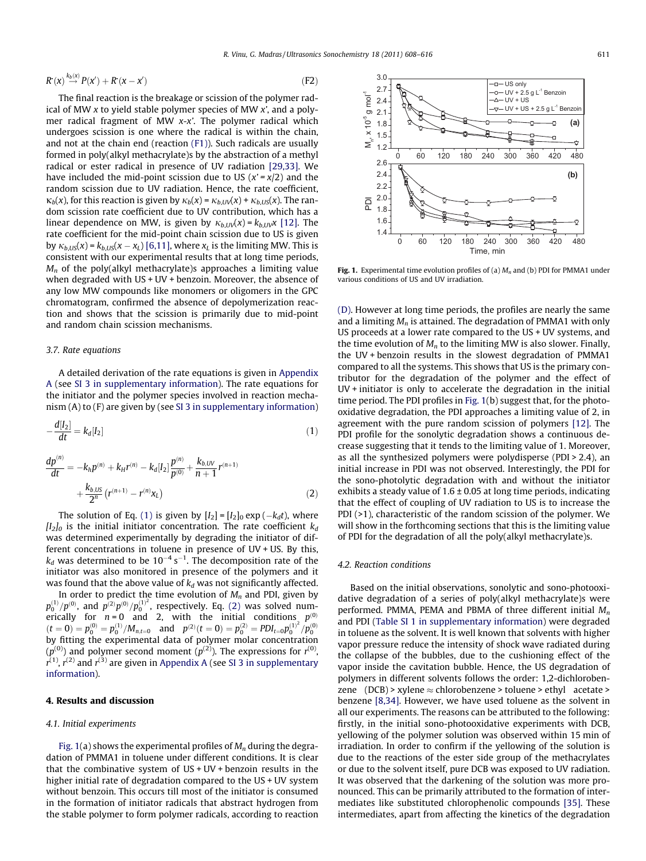$$
R^{\cdot}(x) \stackrel{k_b(x)}{\rightarrow} P(x') + R^{\cdot}(x - x')
$$
 (F2)

The final reaction is the breakage or scission of the polymer radical of MW  $x$  to yield stable polymer species of MW  $x$ ', and a polymer radical fragment of MW x-x'. The polymer radical which undergoes scission is one where the radical is within the chain, and not at the chain end (reaction (F1)). Such radicals are usually formed in poly(alkyl methacrylate)s by the abstraction of a methyl radical or ester radical in presence of UV radiation [29,33]. We have included the mid-point scission due to US  $(x' = x/2)$  and the random scission due to UV radiation. Hence, the rate coefficient,  $\kappa_b(x)$ , for this reaction is given by  $\kappa_b(x) = \kappa_{b,UV}(x) + \kappa_{b,US}(x)$ . The random scission rate coefficient due to UV contribution, which has a linear dependence on MW, is given by  $\kappa_{b,UV}(x) = k_{b,UV}(x)$ . The rate coefficient for the mid-point chain scission due to US is given by  $\kappa_{b,US}(x) = k_{b,US}(x - x_L)$  [6,11], where  $x_L$  is the limiting MW. This is consistent with our experimental results that at long time periods,  $M_n$  of the poly(alkyl methacrylate)s approaches a limiting value when degraded with US + UV + benzoin. Moreover, the absence of any low MW compounds like monomers or oligomers in the GPC chromatogram, confirmed the absence of depolymerization reaction and shows that the scission is primarily due to mid-point and random chain scission mechanisms.

## 3.7. Rate equations

A detailed derivation of the rate equations is given in Appendix A (see SI 3 in supplementary information). The rate equations for the initiator and the polymer species involved in reaction mechanism (A) to (F) are given by (see SI 3 in supplementary information)

$$
-\frac{d[l_2]}{dt} = k_d[l_2] \tag{1}
$$

$$
\frac{dp^{(n)}}{dt} = -k_h p^{(n)} + k_H r^{(n)} - k_d [I_2] \frac{p^{(n)}}{p^{(0)}} + \frac{k_{b,UV}}{n+1} r^{(n+1)} + \frac{k_{b,US}}{2^n} (r^{(n+1)} - r^{(n)} x_L)
$$
\n(2)

The solution of Eq. (1) is given by  $[I_2]$  =  $[I_2]_0$  exp ( $-k_d t$ ), where  $[I_2]_0$  is the initial initiator concentration. The rate coefficient  $k_d$ was determined experimentally by degrading the initiator of different concentrations in toluene in presence of UV + US. By this,  $k_d$  was determined to be 10<sup>-4</sup> s<sup>-1</sup>. The decomposition rate of the initiator was also monitored in presence of the polymers and it was found that the above value of  $k_d$  was not significantly affected.

In order to predict the time evolution of  $M_n$  and PDI, given by  $p_0^{(1)}/p^{(0)}$ , and  $p^{(2)}p^{(0)}/p_0^{(1)^2}$ , respectively. Eq. (2) was solved numerically for  $n = 0$  and 2, with the initial conditions  $p^{(0)}$  $\dot{p}(t=0) = p_0^{(0)} = p_0^{(1)}/M_{n,t=0}$  and  $p^{(2)}(t=0) = p_0^{(2)} = PDI_{t=0}p_0^{(1)^2}/p_0^{(0)}$ by fitting the experimental data of polymer molar concentration  $(p^{(0)})$  and polymer second moment  $(p^{(2)})$ . The expressions for  $r^{(0)}$ ,  $r^{(1)}$ ,  $r^{(2)}$  and  $r^{(3)}$  are given in Appendix A (see SI 3 in supplementary information).

## 4. Results and discussion

## 4.1. Initial experiments

Fig. 1(a) shows the experimental profiles of  $M_n$  during the degradation of PMMA1 in toluene under different conditions. It is clear that the combinative system of US + UV + benzoin results in the higher initial rate of degradation compared to the US + UV system without benzoin. This occurs till most of the initiator is consumed in the formation of initiator radicals that abstract hydrogen from the stable polymer to form polymer radicals, according to reaction



Fig. 1. Experimental time evolution profiles of (a)  $M_n$  and (b) PDI for PMMA1 under various conditions of US and UV irradiation.

(D). However at long time periods, the profiles are nearly the same and a limiting  $M_n$  is attained. The degradation of PMMA1 with only US proceeds at a lower rate compared to the US + UV systems, and the time evolution of  $M_n$  to the limiting MW is also slower. Finally, the UV + benzoin results in the slowest degradation of PMMA1 compared to all the systems. This shows that US is the primary contributor for the degradation of the polymer and the effect of UV + initiator is only to accelerate the degradation in the initial time period. The PDI profiles in Fig. 1(b) suggest that, for the photooxidative degradation, the PDI approaches a limiting value of 2, in agreement with the pure random scission of polymers [12]. The PDI profile for the sonolytic degradation shows a continuous decrease suggesting that it tends to the limiting value of 1. Moreover, as all the synthesized polymers were polydisperse (PDI > 2.4), an initial increase in PDI was not observed. Interestingly, the PDI for the sono-photolytic degradation with and without the initiator exhibits a steady value of  $1.6 \pm 0.05$  at long time periods, indicating that the effect of coupling of UV radiation to US is to increase the PDI (>1), characteristic of the random scission of the polymer. We will show in the forthcoming sections that this is the limiting value of PDI for the degradation of all the poly(alkyl methacrylate)s.

#### 4.2. Reaction conditions

Based on the initial observations, sonolytic and sono-photooxidative degradation of a series of poly(alkyl methacrylate)s were performed. PMMA, PEMA and PBMA of three different initial  $M_n$ and PDI (Table SI 1 in supplementary information) were degraded in toluene as the solvent. It is well known that solvents with higher vapor pressure reduce the intensity of shock wave radiated during the collapse of the bubbles, due to the cushioning effect of the vapor inside the cavitation bubble. Hence, the US degradation of polymers in different solvents follows the order: 1,2-dichlorobenzene  $(DCB)$  > xylene  $\approx$  chlorobenzene > toluene > ethyl acetate > benzene [8,34]. However, we have used toluene as the solvent in all our experiments. The reasons can be attributed to the following: firstly, in the initial sono-photooxidative experiments with DCB, yellowing of the polymer solution was observed within 15 min of irradiation. In order to confirm if the yellowing of the solution is due to the reactions of the ester side group of the methacrylates or due to the solvent itself, pure DCB was exposed to UV radiation. It was observed that the darkening of the solution was more pronounced. This can be primarily attributed to the formation of intermediates like substituted chlorophenolic compounds [35]. These intermediates, apart from affecting the kinetics of the degradation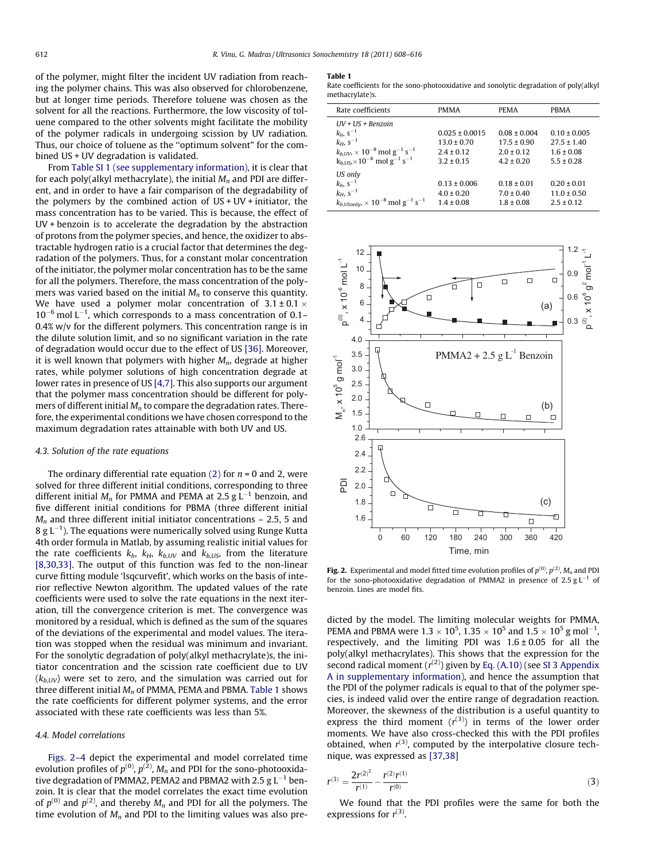of the polymer, might filter the incident UV radiation from reaching the polymer chains. This was also observed for chlorobenzene, but at longer time periods. Therefore toluene was chosen as the solvent for all the reactions. Furthermore, the low viscosity of toluene compared to the other solvents might facilitate the mobility of the polymer radicals in undergoing scission by UV radiation. Thus, our choice of toluene as the ''optimum solvent" for the combined US + UV degradation is validated.

From Table SI 1 (see supplementary information), it is clear that for each poly(alkyl methacrylate), the initial  $M_n$  and PDI are different, and in order to have a fair comparison of the degradability of the polymers by the combined action of  $US + UV +$  initiator, the mass concentration has to be varied. This is because, the effect of UV + benzoin is to accelerate the degradation by the abstraction of protons from the polymer species, and hence, the oxidizer to abstractable hydrogen ratio is a crucial factor that determines the degradation of the polymers. Thus, for a constant molar concentration of the initiator, the polymer molar concentration has to be the same for all the polymers. Therefore, the mass concentration of the polymers was varied based on the initial  $M_n$  to conserve this quantity. We have used a polymer molar concentration of  $3.1 \pm 0.1 \times$  $10^{-6}$  mol L<sup>-1</sup>, which corresponds to a mass concentration of 0.1– 0.4% w/v for the different polymers. This concentration range is in the dilute solution limit, and so no significant variation in the rate of degradation would occur due to the effect of US [36]. Moreover, it is well known that polymers with higher  $M_n$ , degrade at higher rates, while polymer solutions of high concentration degrade at lower rates in presence of US [4,7]. This also supports our argument that the polymer mass concentration should be different for polymers of different initial  $M_n$  to compare the degradation rates. Therefore, the experimental conditions we have chosen correspond to the maximum degradation rates attainable with both UV and US.

## 4.3. Solution of the rate equations

The ordinary differential rate equation (2) for  $n = 0$  and 2, were solved for three different initial conditions, corresponding to three different initial  $M_n$  for PMMA and PEMA at 2.5 g L $^{-1}$  benzoin, and five different initial conditions for PBMA (three different initial  $M_n$  and three different initial initiator concentrations  $-$  2.5, 5 and 8 g L $^{-1}$ ). The equations were numerically solved using Runge Kutta 4th order formula in Matlab, by assuming realistic initial values for the rate coefficients  $k_h$ ,  $k_H$ ,  $k_{h,UV}$  and  $k_{h,US}$ , from the literature [8,30,33]. The output of this function was fed to the non-linear curve fitting module 'lsqcurvefit', which works on the basis of interior reflective Newton algorithm. The updated values of the rate coefficients were used to solve the rate equations in the next iteration, till the convergence criterion is met. The convergence was monitored by a residual, which is defined as the sum of the squares of the deviations of the experimental and model values. The iteration was stopped when the residual was minimum and invariant. For the sonolytic degradation of poly(alkyl methacrylate)s, the initiator concentration and the scission rate coefficient due to UV  $(k_{b,UV})$  were set to zero, and the simulation was carried out for three different initial  $M_n$  of PMMA, PEMA and PBMA. Table 1 shows the rate coefficients for different polymer systems, and the error associated with these rate coefficients was less than 5%.

#### 4.4. Model correlations

Figs. 2–4 depict the experimental and model correlated time evolution profiles of  $p^{(0)},$   $p^{(2)},$   $M_n$  and PDI for the sono-photooxidative degradation of PMMA2, PEMA2 and PBMA2 with 2.5 g  $\mathtt{L}^{-1}$  benzoin. It is clear that the model correlates the exact time evolution of  $p^{(0)}$  and  $p^{(2)}$ , and thereby  $M_n$  and PDI for all the polymers. The time evolution of  $M_n$  and PDI to the limiting values was also pre-

#### Table 1

Rate coefficients for the sono-photooxidative and sonolytic degradation of poly(alkyl methacrylate)s.

| Rate coefficients                                                          | <b>PMMA</b>        | <b>PEMA</b>      | <b>PBMA</b>      |
|----------------------------------------------------------------------------|--------------------|------------------|------------------|
| $UV + US + Benzoin$                                                        |                    |                  |                  |
| $k_h$ , s <sup>-1</sup>                                                    | $0.025 \pm 0.0015$ | $0.08 \pm 0.004$ | $0.10 \pm 0.005$ |
| $k_{H}$ , s <sup>-1</sup>                                                  | $13.0 \pm 0.70$    | $17.5 \pm 0.90$  | $27.5 \pm 1.40$  |
| $k_{b,UV}$ , $\times$ 10 <sup>-8</sup> mol g <sup>-1</sup> s <sup>-1</sup> | $2.4 \pm 0.12$     | $2.0 \pm 0.12$   | $1.6 \pm 0.08$   |
| $k_{b,US}$ , $\times 10^{-8}$ mol g <sup>-1</sup> s <sup>-1</sup>          | $3.2 \pm 0.15$     | $4.2 \pm 0.20$   | $5.5 \pm 0.28$   |
| US only                                                                    |                    |                  |                  |
| $k_h$ , s <sup>-1</sup>                                                    | $0.13 \pm 0.006$   | $0.18 \pm 0.01$  | $0.20 \pm 0.01$  |
| $k_H$ , s <sup>-1</sup>                                                    | $4.0 \pm 0.20$     | $7.0 \pm 0.40$   | $11.0 \pm 0.50$  |
| $k_{b,USonly}$ , $\times 10^{-8}$ mol g <sup>-1</sup> s <sup>-1</sup>      | $1.4 \pm 0.08$     | $1.8 \pm 0.08$   | $2.5 \pm 0.12$   |



**Fig. 2.** Experimental and model fitted time evolution profiles of  $p^{(0)}$ ,  $p^{(2)}$ ,  $M_n$  and PDI for the sono-photooxidative degradation of PMMA2 in presence of  $2.5 \text{ g L}^{-1}$  of benzoin. Lines are model fits.

dicted by the model. The limiting molecular weights for PMMA, PEMA and PBMA were  $1.3 \times 10^5$ ,  $1.35 \times 10^5$  and  $1.5 \times 10^5$  g mol<sup>-1</sup>, respectively, and the limiting PDI was  $1.6 \pm 0.05$  for all the poly(alkyl methacrylates). This shows that the expression for the second radical moment  $(r^{(2)})$  given by Eq. (A.10) (see SI 3 Appendix A in supplementary information), and hence the assumption that the PDI of the polymer radicals is equal to that of the polymer species, is indeed valid over the entire range of degradation reaction. Moreover, the skewness of the distribution is a useful quantity to express the third moment  $(r^{(3)})$  in terms of the lower order moments. We have also cross-checked this with the PDI profiles obtained, when  $r^{(3)}$ , computed by the interpolative closure technique, was expressed as [37,38]

$$
r^{(3)} = \frac{2r^{(2)^2}}{r^{(1)}} - \frac{r^{(2)}r^{(1)}}{r^{(0)}}
$$
(3)

We found that the PDI profiles were the same for both the expressions for  $r^{(3)}$ .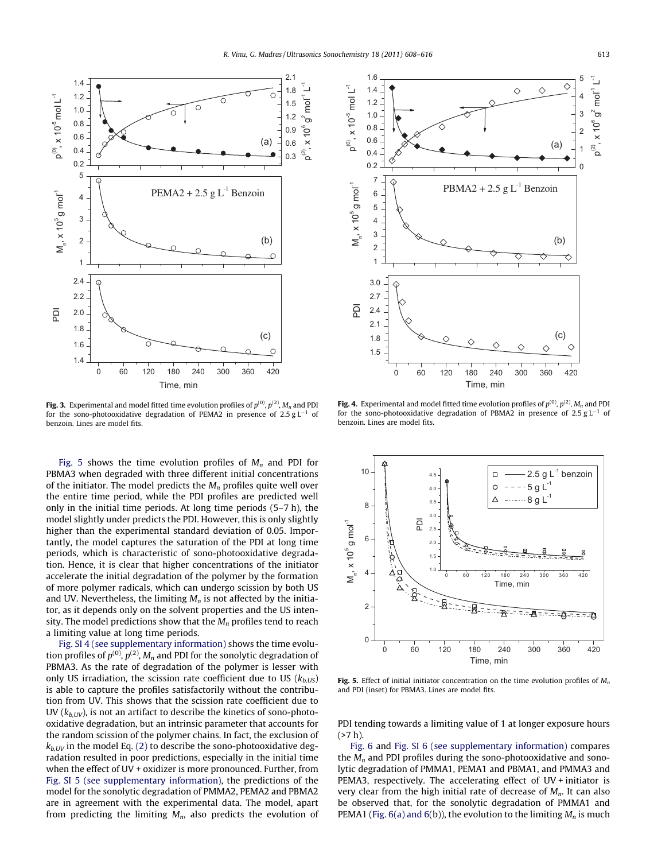

**Fig. 3.** Experimental and model fitted time evolution profiles of  $p^{(0)},$   $p^{(2)},$   $M_n$  and PDI for the sono-photooxidative degradation of PEMA2 in presence of  $2.5 \text{ g L}^{-1}$  of benzoin. Lines are model fits.

Fig. 5 shows the time evolution profiles of  $M_n$  and PDI for PBMA3 when degraded with three different initial concentrations of the initiator. The model predicts the  $M_n$  profiles quite well over the entire time period, while the PDI profiles are predicted well only in the initial time periods. At long time periods (5–7 h), the model slightly under predicts the PDI. However, this is only slightly higher than the experimental standard deviation of 0.05. Importantly, the model captures the saturation of the PDI at long time periods, which is characteristic of sono-photooxidative degradation. Hence, it is clear that higher concentrations of the initiator accelerate the initial degradation of the polymer by the formation of more polymer radicals, which can undergo scission by both US and UV. Nevertheless, the limiting  $M_n$  is not affected by the initiator, as it depends only on the solvent properties and the US intensity. The model predictions show that the  $M_n$  profiles tend to reach a limiting value at long time periods.

Fig. SI 4 (see supplementary information) shows the time evolution profiles of  $p^{(0)}, p^{(2)}, M_n$  and PDI for the sonolytic degradation of PBMA3. As the rate of degradation of the polymer is lesser with only US irradiation, the scission rate coefficient due to US ( $k_{b,US}$ ) is able to capture the profiles satisfactorily without the contribution from UV. This shows that the scission rate coefficient due to UV ( $k_{b,UV}$ ), is not an artifact to describe the kinetics of sono-photooxidative degradation, but an intrinsic parameter that accounts for the random scission of the polymer chains. In fact, the exclusion of  $k_{h\,IV}$  in the model Eq. (2) to describe the sono-photooxidative degradation resulted in poor predictions, especially in the initial time when the effect of UV + oxidizer is more pronounced. Further, from Fig. SI 5 (see supplementary information), the predictions of the model for the sonolytic degradation of PMMA2, PEMA2 and PBMA2 are in agreement with the experimental data. The model, apart from predicting the limiting  $M_n$ , also predicts the evolution of



**Fig. 4.** Experimental and model fitted time evolution profiles of  $p^{(0)}, p^{(2)}, M_n$  and PDI for the sono-photooxidative degradation of PBMA2 in presence of  $2.5 \text{ g L}^{-1}$  of benzoin. Lines are model fits.



Fig. 5. Effect of initial initiator concentration on the time evolution profiles of  $M_n$ and PDI (inset) for PBMA3. Lines are model fits.

PDI tending towards a limiting value of 1 at longer exposure hours  $(>7 h)$ .

Fig. 6 and Fig. SI 6 (see supplementary information) compares the  $M_n$  and PDI profiles during the sono-photooxidative and sonolytic degradation of PMMA1, PEMA1 and PBMA1, and PMMA3 and PEMA3, respectively. The accelerating effect of UV + initiator is very clear from the high initial rate of decrease of  $M_n$ . It can also be observed that, for the sonolytic degradation of PMMA1 and PEMA1 (Fig. 6(a) and 6(b)), the evolution to the limiting  $M_n$  is much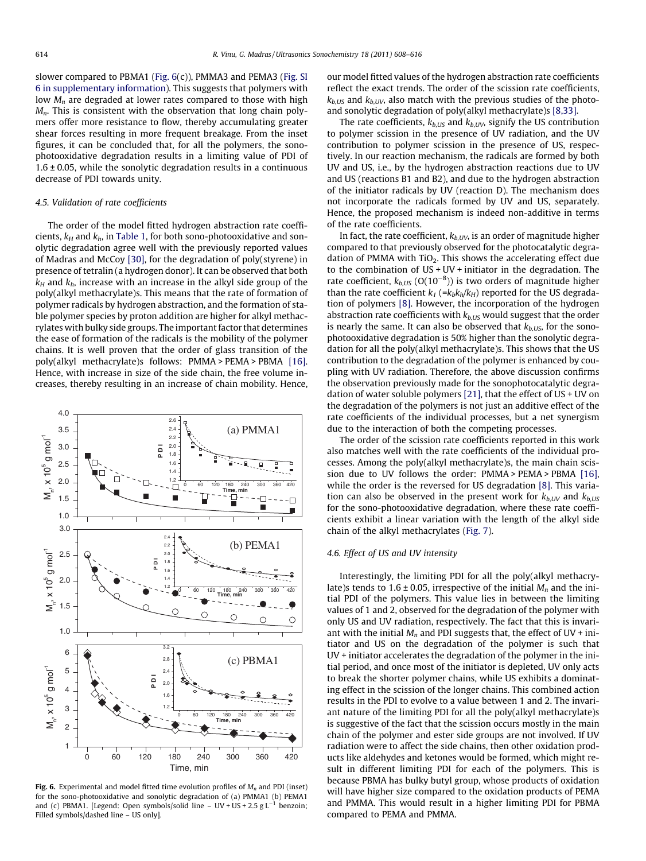slower compared to PBMA1 (Fig. 6(c)), PMMA3 and PEMA3 (Fig. SI 6 in supplementary information). This suggests that polymers with low  $M_n$  are degraded at lower rates compared to those with high  $M_n$ . This is consistent with the observation that long chain polymers offer more resistance to flow, thereby accumulating greater shear forces resulting in more frequent breakage. From the inset figures, it can be concluded that, for all the polymers, the sonophotooxidative degradation results in a limiting value of PDI of  $1.6 \pm 0.05$ , while the sonolytic degradation results in a continuous decrease of PDI towards unity.

## 4.5. Validation of rate coefficients

The order of the model fitted hydrogen abstraction rate coefficients,  $k_H$  and  $k_h$ , in Table 1, for both sono-photooxidative and sonolytic degradation agree well with the previously reported values of Madras and McCoy [30], for the degradation of poly(styrene) in presence of tetralin (a hydrogen donor). It can be observed that both  $k_H$  and  $k_h$ , increase with an increase in the alkyl side group of the poly(alkyl methacrylate)s. This means that the rate of formation of polymer radicals by hydrogen abstraction, and the formation of stable polymer species by proton addition are higher for alkyl methacrylates with bulky side groups. The important factor that determines the ease of formation of the radicals is the mobility of the polymer chains. It is well proven that the order of glass transition of the poly(alkyl methacrylate)s follows: PMMA > PEMA > PBMA [16]. Hence, with increase in size of the side chain, the free volume increases, thereby resulting in an increase of chain mobility. Hence,



Fig. 6. Experimental and model fitted time evolution profiles of  $M_n$  and PDI (inset) for the sono-photooxidative and sonolytic degradation of (a) PMMA1 (b) PEMA1 and (c) PBMA1. [Legend: Open symbols/solid line  $-$  UV + US + 2.5 g L<sup>-1</sup> benzoin; Filled symbols/dashed line – US only].

our model fitted values of the hydrogen abstraction rate coefficients reflect the exact trends. The order of the scission rate coefficients,  $k_{h,US}$  and  $k_{h,UV}$ , also match with the previous studies of the photoand sonolytic degradation of poly(alkyl methacrylate)s [8,33].

The rate coefficients,  $k_{b,US}$  and  $k_{b,UV}$ , signify the US contribution to polymer scission in the presence of UV radiation, and the UV contribution to polymer scission in the presence of US, respectively. In our reaction mechanism, the radicals are formed by both UV and US, i.e., by the hydrogen abstraction reactions due to UV and US (reactions B1 and B2), and due to the hydrogen abstraction of the initiator radicals by UV (reaction D). The mechanism does not incorporate the radicals formed by UV and US, separately. Hence, the proposed mechanism is indeed non-additive in terms of the rate coefficients.

In fact, the rate coefficient,  $k_{b,UV}$ , is an order of magnitude higher compared to that previously observed for the photocatalytic degradation of PMMA with  $TiO<sub>2</sub>$ . This shows the accelerating effect due to the combination of US + UV + initiator in the degradation. The rate coefficient,  $k_{b,US}$  (O(10<sup>-8</sup>)) is two orders of magnitude higher than the rate coefficient  $k_1$  (= $k_b k_b / k_H$ ) reported for the US degradation of polymers [8]. However, the incorporation of the hydrogen abstraction rate coefficients with  $k_{b,US}$  would suggest that the order is nearly the same. It can also be observed that  $k_{h,US}$ , for the sonophotooxidative degradation is 50% higher than the sonolytic degradation for all the poly(alkyl methacrylate)s. This shows that the US contribution to the degradation of the polymer is enhanced by coupling with UV radiation. Therefore, the above discussion confirms the observation previously made for the sonophotocatalytic degradation of water soluble polymers [21], that the effect of US + UV on the degradation of the polymers is not just an additive effect of the rate coefficients of the individual processes, but a net synergism due to the interaction of both the competing processes.

The order of the scission rate coefficients reported in this work also matches well with the rate coefficients of the individual processes. Among the poly(alkyl methacrylate)s, the main chain scission due to UV follows the order: PMMA > PEMA > PBMA [16], while the order is the reversed for US degradation [8]. This variation can also be observed in the present work for  $k_{b,UV}$  and  $k_{b,US}$ for the sono-photooxidative degradation, where these rate coefficients exhibit a linear variation with the length of the alkyl side chain of the alkyl methacrylates (Fig. 7).

## 4.6. Effect of US and UV intensity

Interestingly, the limiting PDI for all the poly(alkyl methacrylate)s tends to 1.6  $\pm$  0.05, irrespective of the initial  $M_n$  and the initial PDI of the polymers. This value lies in between the limiting values of 1 and 2, observed for the degradation of the polymer with only US and UV radiation, respectively. The fact that this is invariant with the initial  $M_n$  and PDI suggests that, the effect of UV + initiator and US on the degradation of the polymer is such that UV + initiator accelerates the degradation of the polymer in the initial period, and once most of the initiator is depleted, UV only acts to break the shorter polymer chains, while US exhibits a dominating effect in the scission of the longer chains. This combined action results in the PDI to evolve to a value between 1 and 2. The invariant nature of the limiting PDI for all the poly(alkyl methacrylate)s is suggestive of the fact that the scission occurs mostly in the main chain of the polymer and ester side groups are not involved. If UV radiation were to affect the side chains, then other oxidation products like aldehydes and ketones would be formed, which might result in different limiting PDI for each of the polymers. This is because PBMA has bulky butyl group, whose products of oxidation will have higher size compared to the oxidation products of PEMA and PMMA. This would result in a higher limiting PDI for PBMA compared to PEMA and PMMA.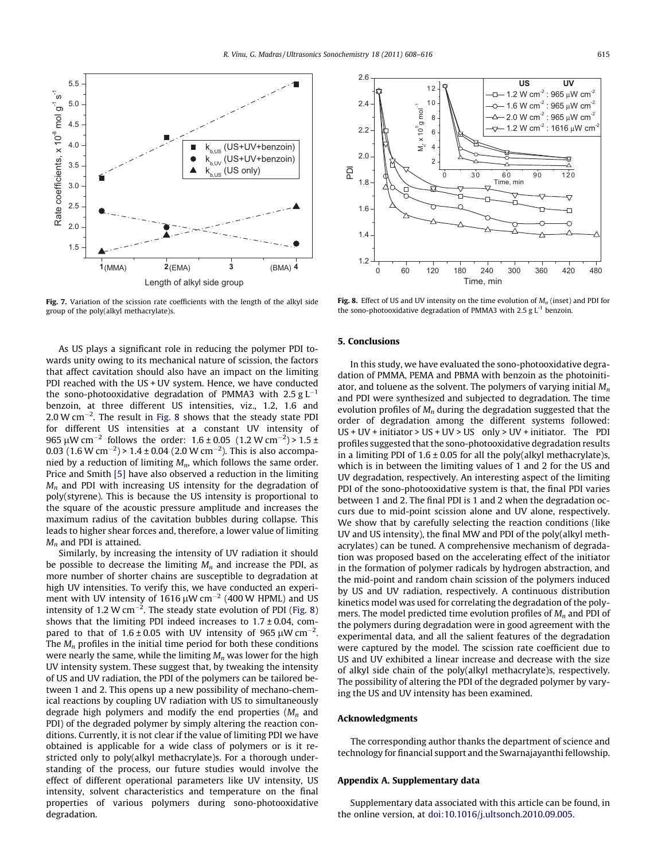

Fig. 7. Variation of the scission rate coefficients with the length of the alkyl side group of the poly(alkyl methacrylate)s.

As US plays a significant role in reducing the polymer PDI towards unity owing to its mechanical nature of scission, the factors that affect cavitation should also have an impact on the limiting PDI reached with the US + UV system. Hence, we have conducted the sono-photooxidative degradation of PMMA3 with 2.5  $g L^{-1}$ benzoin, at three different US intensities, viz., 1.2, 1.6 and 2.0 W cm<sup> $-2$ </sup>. The result in Fig. 8 shows that the steady state PDI for different US intensities at a constant UV intensity of 965 µW cm<sup>-2</sup> follows the order: 1.6 ± 0.05 (1.2 W cm<sup>-2</sup>) > 1.5 ± 0.03 (1.6 W cm<sup>-2</sup>) > 1.4 ± 0.04 (2.0 W cm<sup>-2</sup>). This is also accompanied by a reduction of limiting  $M_n$ , which follows the same order. Price and Smith [5] have also observed a reduction in the limiting  $M_n$  and PDI with increasing US intensity for the degradation of poly(styrene). This is because the US intensity is proportional to the square of the acoustic pressure amplitude and increases the maximum radius of the cavitation bubbles during collapse. This leads to higher shear forces and, therefore, a lower value of limiting  $M_n$  and PDI is attained.

Similarly, by increasing the intensity of UV radiation it should be possible to decrease the limiting  $M_n$  and increase the PDI, as more number of shorter chains are susceptible to degradation at high UV intensities. To verify this, we have conducted an experiment with UV intensity of 1616  $\mu$ W cm<sup>-2</sup> (400 W HPML) and US intensity of 1.2 W  $cm^{-2}$ . The steady state evolution of PDI (Fig. 8) shows that the limiting PDI indeed increases to  $1.7 \pm 0.04$ , compared to that of  $1.6 \pm 0.05$  with UV intensity of 965  $\mu$ W cm<sup>-2</sup>. The  $M_n$  profiles in the initial time period for both these conditions were nearly the same, while the limiting  $M_n$  was lower for the high UV intensity system. These suggest that, by tweaking the intensity of US and UV radiation, the PDI of the polymers can be tailored between 1 and 2. This opens up a new possibility of mechano-chemical reactions by coupling UV radiation with US to simultaneously degrade high polymers and modify the end properties  $(M_n$  and PDI) of the degraded polymer by simply altering the reaction conditions. Currently, it is not clear if the value of limiting PDI we have obtained is applicable for a wide class of polymers or is it restricted only to poly(alkyl methacrylate)s. For a thorough understanding of the process, our future studies would involve the effect of different operational parameters like UV intensity, US intensity, solvent characteristics and temperature on the final properties of various polymers during sono-photooxidative degradation.



Fig. 8. Effect of US and UV intensity on the time evolution of  $M_n$  (inset) and PDI for the sono-photooxidative degradation of PMMA3 with  $2.5$  g  $L^{-1}$  benzoin.

## 5. Conclusions

In this study, we have evaluated the sono-photooxidative degradation of PMMA, PEMA and PBMA with benzoin as the photoinitiator, and toluene as the solvent. The polymers of varying initial  $M_n$ and PDI were synthesized and subjected to degradation. The time evolution profiles of  $M_n$  during the degradation suggested that the order of degradation among the different systems followed: US + UV + initiator > US + UV > US only > UV + initiator. The PDI profiles suggested that the sono-photooxidative degradation results in a limiting PDI of  $1.6 \pm 0.05$  for all the poly(alkyl methacrylate)s, which is in between the limiting values of 1 and 2 for the US and UV degradation, respectively. An interesting aspect of the limiting PDI of the sono-photooxidative system is that, the final PDI varies between 1 and 2. The final PDI is 1 and 2 when the degradation occurs due to mid-point scission alone and UV alone, respectively. We show that by carefully selecting the reaction conditions (like UV and US intensity), the final MW and PDI of the poly(alkyl methacrylates) can be tuned. A comprehensive mechanism of degradation was proposed based on the accelerating effect of the initiator in the formation of polymer radicals by hydrogen abstraction, and the mid-point and random chain scission of the polymers induced by US and UV radiation, respectively. A continuous distribution kinetics model was used for correlating the degradation of the polymers. The model predicted time evolution profiles of  $M_n$  and PDI of the polymers during degradation were in good agreement with the experimental data, and all the salient features of the degradation were captured by the model. The scission rate coefficient due to US and UV exhibited a linear increase and decrease with the size of alkyl side chain of the poly(alkyl methacrylate)s, respectively. The possibility of altering the PDI of the degraded polymer by varying the US and UV intensity has been examined.

## Acknowledgments

The corresponding author thanks the department of science and technology for financial support and the Swarnajayanthi fellowship.

## Appendix A. Supplementary data

Supplementary data associated with this article can be found, in the online version, at doi:10.1016/j.ultsonch.2010.09.005.